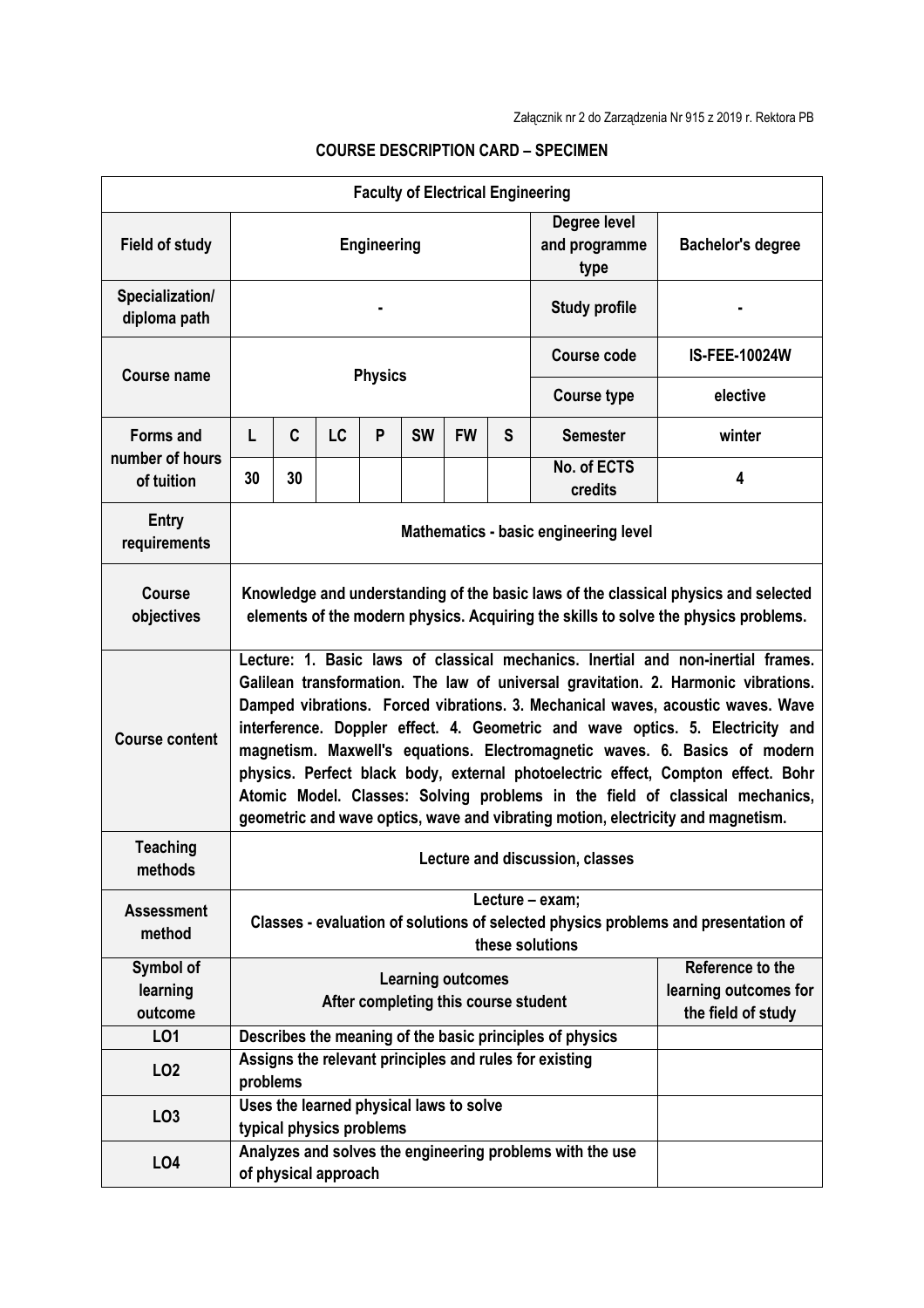| <b>Faculty of Electrical Engineering</b>          |                                                                                                                                                                                                                                                                                                                                                                                                                                                                                                                                                                                                                                                                                   |                                                                                                                                |                                                                     |   |           |           |                                       |                                                                 |                      |  |  |  |
|---------------------------------------------------|-----------------------------------------------------------------------------------------------------------------------------------------------------------------------------------------------------------------------------------------------------------------------------------------------------------------------------------------------------------------------------------------------------------------------------------------------------------------------------------------------------------------------------------------------------------------------------------------------------------------------------------------------------------------------------------|--------------------------------------------------------------------------------------------------------------------------------|---------------------------------------------------------------------|---|-----------|-----------|---------------------------------------|-----------------------------------------------------------------|----------------------|--|--|--|
| <b>Field of study</b>                             | <b>Engineering</b>                                                                                                                                                                                                                                                                                                                                                                                                                                                                                                                                                                                                                                                                |                                                                                                                                |                                                                     |   |           |           | Degree level<br>and programme<br>type | <b>Bachelor's degree</b>                                        |                      |  |  |  |
| Specialization/<br>diploma path                   |                                                                                                                                                                                                                                                                                                                                                                                                                                                                                                                                                                                                                                                                                   |                                                                                                                                |                                                                     |   |           |           |                                       | <b>Study profile</b>                                            |                      |  |  |  |
| Course name                                       | <b>Physics</b>                                                                                                                                                                                                                                                                                                                                                                                                                                                                                                                                                                                                                                                                    |                                                                                                                                |                                                                     |   |           |           |                                       | <b>Course code</b>                                              | <b>IS-FEE-10024W</b> |  |  |  |
|                                                   |                                                                                                                                                                                                                                                                                                                                                                                                                                                                                                                                                                                                                                                                                   |                                                                                                                                |                                                                     |   |           |           |                                       | <b>Course type</b>                                              | elective             |  |  |  |
| <b>Forms and</b><br>number of hours<br>of tuition | L                                                                                                                                                                                                                                                                                                                                                                                                                                                                                                                                                                                                                                                                                 | C                                                                                                                              | <b>LC</b>                                                           | P | <b>SW</b> | <b>FW</b> | S                                     | <b>Semester</b>                                                 | winter               |  |  |  |
|                                                   | 30                                                                                                                                                                                                                                                                                                                                                                                                                                                                                                                                                                                                                                                                                | 30                                                                                                                             |                                                                     |   |           |           |                                       | No. of ECTS<br>credits                                          | 4                    |  |  |  |
| Entry<br>requirements                             | Mathematics - basic engineering level                                                                                                                                                                                                                                                                                                                                                                                                                                                                                                                                                                                                                                             |                                                                                                                                |                                                                     |   |           |           |                                       |                                                                 |                      |  |  |  |
| <b>Course</b><br>objectives                       | Knowledge and understanding of the basic laws of the classical physics and selected<br>elements of the modern physics. Acquiring the skills to solve the physics problems.                                                                                                                                                                                                                                                                                                                                                                                                                                                                                                        |                                                                                                                                |                                                                     |   |           |           |                                       |                                                                 |                      |  |  |  |
| <b>Course content</b>                             | Lecture: 1. Basic laws of classical mechanics. Inertial and non-inertial frames.<br>Galilean transformation. The law of universal gravitation. 2. Harmonic vibrations.<br>Damped vibrations. Forced vibrations. 3. Mechanical waves, acoustic waves. Wave<br>interference. Doppler effect. 4. Geometric and wave optics. 5. Electricity and<br>magnetism. Maxwell's equations. Electromagnetic waves. 6. Basics of modern<br>physics. Perfect black body, external photoelectric effect, Compton effect. Bohr<br>Atomic Model. Classes: Solving problems in the field of classical mechanics,<br>geometric and wave optics, wave and vibrating motion, electricity and magnetism. |                                                                                                                                |                                                                     |   |           |           |                                       |                                                                 |                      |  |  |  |
| <b>Teaching</b><br>methods                        | Lecture and discussion, classes                                                                                                                                                                                                                                                                                                                                                                                                                                                                                                                                                                                                                                                   |                                                                                                                                |                                                                     |   |           |           |                                       |                                                                 |                      |  |  |  |
| <b>Assessment</b><br>method                       | Lecture - exam;<br>Classes - evaluation of solutions of selected physics problems and presentation of<br>these solutions                                                                                                                                                                                                                                                                                                                                                                                                                                                                                                                                                          |                                                                                                                                |                                                                     |   |           |           |                                       |                                                                 |                      |  |  |  |
| Symbol of<br>learning<br>outcome                  | <b>Learning outcomes</b><br>After completing this course student                                                                                                                                                                                                                                                                                                                                                                                                                                                                                                                                                                                                                  |                                                                                                                                |                                                                     |   |           |           |                                       | Reference to the<br>learning outcomes for<br>the field of study |                      |  |  |  |
| LO1                                               |                                                                                                                                                                                                                                                                                                                                                                                                                                                                                                                                                                                                                                                                                   |                                                                                                                                |                                                                     |   |           |           |                                       |                                                                 |                      |  |  |  |
| LO <sub>2</sub>                                   |                                                                                                                                                                                                                                                                                                                                                                                                                                                                                                                                                                                                                                                                                   | Describes the meaning of the basic principles of physics<br>Assigns the relevant principles and rules for existing<br>problems |                                                                     |   |           |           |                                       |                                                                 |                      |  |  |  |
| LO <sub>3</sub>                                   |                                                                                                                                                                                                                                                                                                                                                                                                                                                                                                                                                                                                                                                                                   |                                                                                                                                | Uses the learned physical laws to solve<br>typical physics problems |   |           |           |                                       |                                                                 |                      |  |  |  |
| LO <sub>4</sub>                                   | Analyzes and solves the engineering problems with the use<br>of physical approach                                                                                                                                                                                                                                                                                                                                                                                                                                                                                                                                                                                                 |                                                                                                                                |                                                                     |   |           |           |                                       |                                                                 |                      |  |  |  |

## **COURSE DESCRIPTION CARD – SPECIMEN**